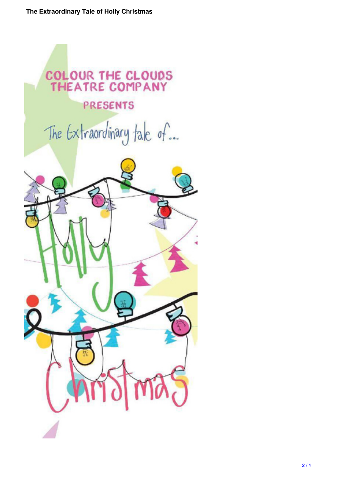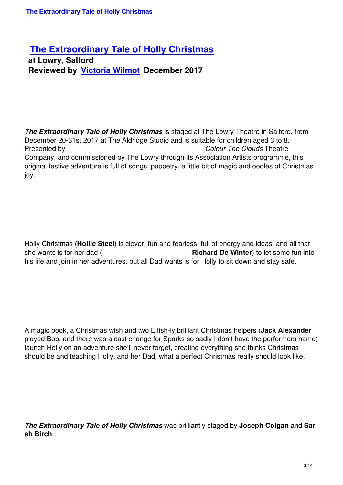## **The Extraordinary Tale of Holly Christmas**

 **at Lowry, Salford [Reviewed by Victoria Wilmot December 2017](the-extraordinary-tale-of-holly-christmas.html)**

*The Extraordinary Tale of Holly Christmas* is staged at The Lowry Theatre in Salford, from December 20-31st 2017 at The Aldridge Studio and is suitable for children aged 3 to 8. Presented by *Colour The Clouds* Theatre Company, and commissioned by The Lowry through its Association Artists programme, this original festive adventure is full of songs, puppetry, a little bit of magic and oodles of Christmas joy.

Holly Christmas (**Hollie Steel**) is clever, fun and fearless; full of energy and ideas, and all that she wants is for her dad ( **Richard De Winter**) to let some fun into his life and join in her adventures, but all Dad wants is for Holly to sit down and stay safe.

A magic book, a Christmas wish and two Elfish-ly brilliant Christmas helpers (**Jack Alexander** played Bob, and there was a cast change for Sparks so sadly I don't have the performers name) launch Holly on an adventure she'll never forget, creating everything she thinks Christmas should be and teaching Holly, and her Dad, what a perfect Christmas really should look like.

*The Extraordinary Tale of Holly Christmas* was brilliantly staged by **Joseph Colgan** and **Sar ah Birch**